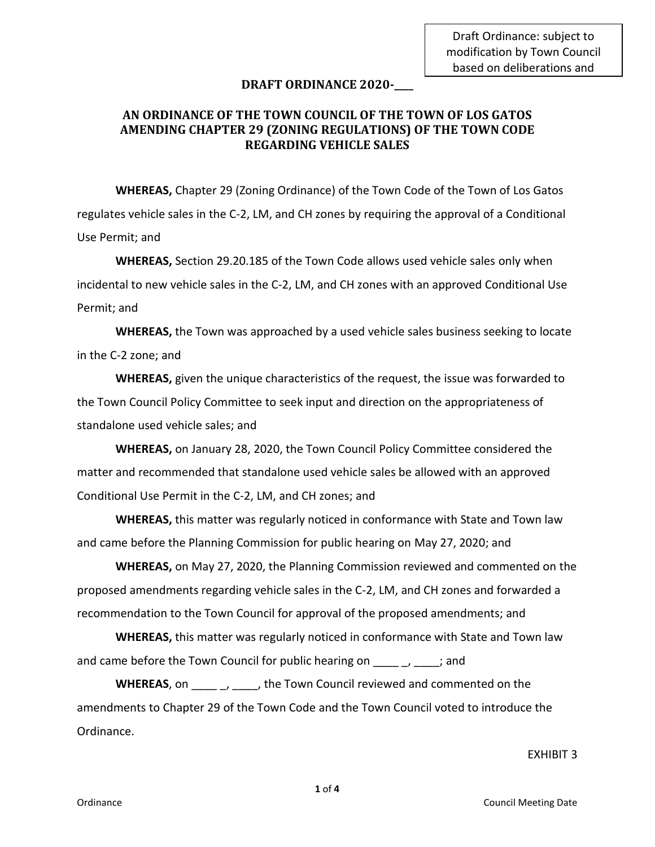Draft Ordinance: subject to modification by Town Council based on deliberations and

### **DRAFT ORDINANCE 2020-\_\_\_\_**

# **AN ORDINANCE OF THE TOWN COUNCIL OF THE TOWN OF LOS GATOS AMENDING CHAPTER 29 (ZONING REGULATIONS) OF THE TOWN CODE REGARDING VEHICLE SALES**

**WHEREAS,** Chapter 29 (Zoning Ordinance) of the Town Code of the Town of Los Gatos regulates vehicle sales in the C-2, LM, and CH zones by requiring the approval of a Conditional Use Permit; and

**WHEREAS,** Section 29.20.185 of the Town Code allows used vehicle sales only when incidental to new vehicle sales in the C-2, LM, and CH zones with an approved Conditional Use Permit; and

**WHEREAS,** the Town was approached by a used vehicle sales business seeking to locate in the C-2 zone; and

**WHEREAS,** given the unique characteristics of the request, the issue was forwarded to the Town Council Policy Committee to seek input and direction on the appropriateness of standalone used vehicle sales; and

**WHEREAS,** on January 28, 2020, the Town Council Policy Committee considered the matter and recommended that standalone used vehicle sales be allowed with an approved Conditional Use Permit in the C-2, LM, and CH zones; and

**WHEREAS,** this matter was regularly noticed in conformance with State and Town law and came before the Planning Commission for public hearing on May 27, 2020; and

**WHEREAS,** on May 27, 2020, the Planning Commission reviewed and commented on the proposed amendments regarding vehicle sales in the C-2, LM, and CH zones and forwarded a recommendation to the Town Council for approval of the proposed amendments; and

**WHEREAS,** this matter was regularly noticed in conformance with State and Town law and came before the Town Council for public hearing on  $\Box$ ,  $\Box$ ; and

**WHEREAS**, on  $\qquad \qquad , \qquad$ , the Town Council reviewed and commented on the amendments to Chapter 29 of the Town Code and the Town Council voted to introduce the Ordinance.

#### EXHIBIT 3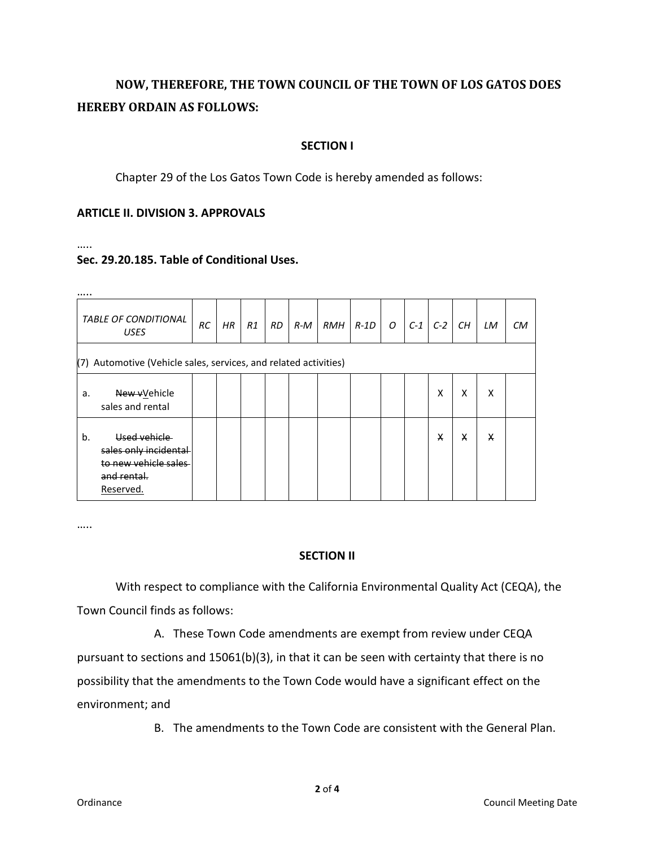# **NOW, THEREFORE, THE TOWN COUNCIL OF THE TOWN OF LOS GATOS DOES HEREBY ORDAIN AS FOLLOWS:**

## **SECTION I**

Chapter 29 of the Los Gatos Town Code is hereby amended as follows:

## **ARTICLE II. DIVISION 3. APPROVALS**

……

# **Sec. 29.20.185. Table of Conditional Uses.**

| <i><b>TABLE OF CONDITIONAL</b></i><br><b>USES</b>                   |                                                                                                             | <b>RC</b> | HR | R1 | <b>RD</b> | $R-M$ |  | RMH R-1D | $\overline{O}$ | $C-1$ | $C-2$ | CH | LM | CМ |
|---------------------------------------------------------------------|-------------------------------------------------------------------------------------------------------------|-----------|----|----|-----------|-------|--|----------|----------------|-------|-------|----|----|----|
| Automotive (Vehicle sales, services, and related activities)<br>(7) |                                                                                                             |           |    |    |           |       |  |          |                |       |       |    |    |    |
| a.                                                                  | New vVehicle<br>sales and rental                                                                            |           |    |    |           |       |  |          |                |       | x     | x  | x  |    |
| b.                                                                  | <b>Used vehicle</b><br>sales only incidental<br>to new vehicle sales<br><del>and rental.</del><br>Reserved. |           |    |    |           |       |  |          |                |       | X     | x  | X  |    |

…..

## **SECTION II**

With respect to compliance with the California Environmental Quality Act (CEQA), the Town Council finds as follows:

A. These Town Code amendments are exempt from review under CEQA pursuant to sections and 15061(b)(3), in that it can be seen with certainty that there is no possibility that the amendments to the Town Code would have a significant effect on the environment; and

B. The amendments to the Town Code are consistent with the General Plan.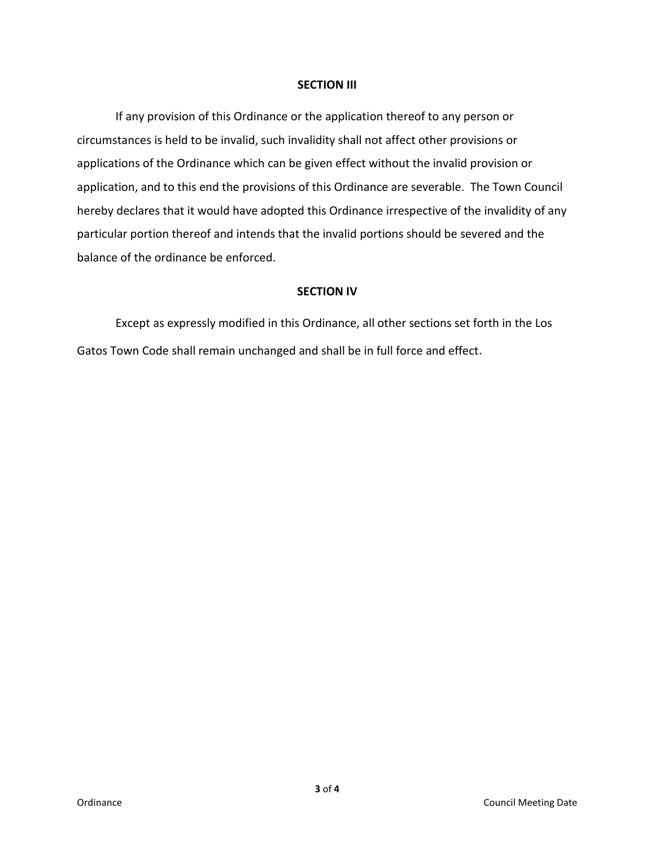#### **SECTION III**

If any provision of this Ordinance or the application thereof to any person or circumstances is held to be invalid, such invalidity shall not affect other provisions or applications of the Ordinance which can be given effect without the invalid provision or application, and to this end the provisions of this Ordinance are severable. The Town Council hereby declares that it would have adopted this Ordinance irrespective of the invalidity of any particular portion thereof and intends that the invalid portions should be severed and the balance of the ordinance be enforced.

# **SECTION IV**

Except as expressly modified in this Ordinance, all other sections set forth in the Los Gatos Town Code shall remain unchanged and shall be in full force and effect.